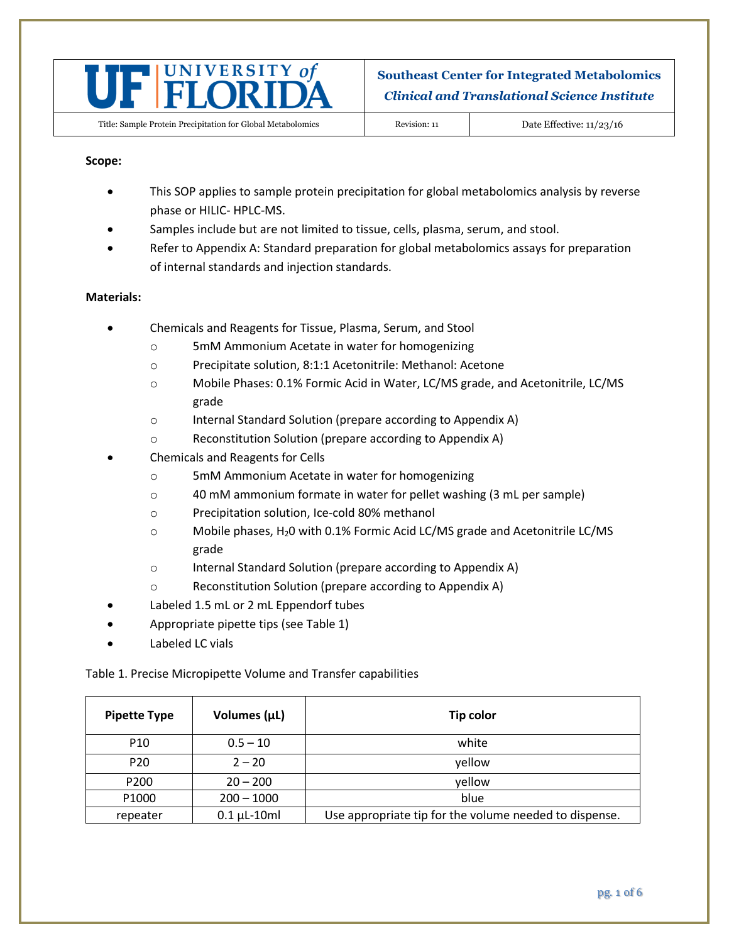

#### **Scope:**

- This SOP applies to sample protein precipitation for global metabolomics analysis by reverse phase or HILIC- HPLC-MS.
- Samples include but are not limited to tissue, cells, plasma, serum, and stool.
- Refer to Appendix A: Standard preparation for global metabolomics assays for preparation of internal standards and injection standards.

#### **Materials:**

- Chemicals and Reagents for Tissue, Plasma, Serum, and Stool
	- o 5mM Ammonium Acetate in water for homogenizing
	- o Precipitate solution, 8:1:1 Acetonitrile: Methanol: Acetone
	- o Mobile Phases: 0.1% Formic Acid in Water, LC/MS grade, and Acetonitrile, LC/MS grade
	- o Internal Standard Solution (prepare according to Appendix A)
	- o Reconstitution Solution (prepare according to Appendix A)
- Chemicals and Reagents for Cells
	- o 5mM Ammonium Acetate in water for homogenizing
	- o 40 mM ammonium formate in water for pellet washing (3 mL per sample)
	- o Precipitation solution, Ice-cold 80% methanol
	- $\circ$  Mobile phases, H<sub>2</sub>0 with 0.1% Formic Acid LC/MS grade and Acetonitrile LC/MS grade
	- o Internal Standard Solution (prepare according to Appendix A)
	- o Reconstitution Solution (prepare according to Appendix A)
- Labeled 1.5 mL or 2 mL Eppendorf tubes
- Appropriate pipette tips (see Table 1)
- Labeled LC vials

Table 1. Precise Micropipette Volume and Transfer capabilities

| <b>Pipette Type</b> | Volumes (µL)       | Tip color                                              |
|---------------------|--------------------|--------------------------------------------------------|
| P <sub>10</sub>     | $0.5 - 10$         | white                                                  |
| P <sub>20</sub>     | $2 - 20$           | yellow                                                 |
| P <sub>200</sub>    | $20 - 200$         | yellow                                                 |
| P1000               | $200 - 1000$       | blue                                                   |
| repeater            | $0.1 \mu L - 10ml$ | Use appropriate tip for the volume needed to dispense. |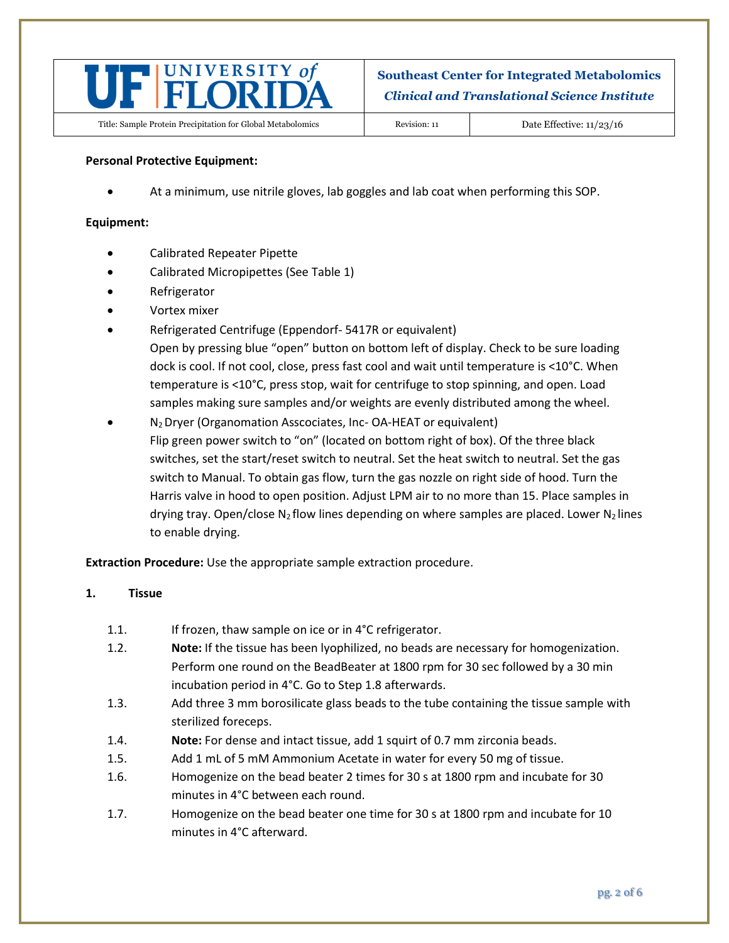

### **Personal Protective Equipment:**

At a minimum, use nitrile gloves, lab goggles and lab coat when performing this SOP.

### **Equipment:**

- Calibrated Repeater Pipette
- Calibrated Micropipettes (See Table 1)
- Refrigerator
- Vortex mixer
- Refrigerated Centrifuge (Eppendorf- 5417R or equivalent) Open by pressing blue "open" button on bottom left of display. Check to be sure loading dock is cool. If not cool, close, press fast cool and wait until temperature is <10°C. When temperature is <10°C, press stop, wait for centrifuge to stop spinning, and open. Load samples making sure samples and/or weights are evenly distributed among the wheel.
- N2 Dryer (Organomation Asscociates, Inc- OA-HEAT or equivalent) Flip green power switch to "on" (located on bottom right of box). Of the three black switches, set the start/reset switch to neutral. Set the heat switch to neutral. Set the gas switch to Manual. To obtain gas flow, turn the gas nozzle on right side of hood. Turn the Harris valve in hood to open position. Adjust LPM air to no more than 15. Place samples in drying tray. Open/close N<sub>2</sub> flow lines depending on where samples are placed. Lower N<sub>2</sub> lines to enable drying.

**Extraction Procedure:** Use the appropriate sample extraction procedure.

#### **1. Tissue**

- 1.1. If frozen, thaw sample on ice or in 4°C refrigerator.
- 1.2. **Note:** If the tissue has been lyophilized, no beads are necessary for homogenization. Perform one round on the BeadBeater at 1800 rpm for 30 sec followed by a 30 min incubation period in 4°C. Go to Step 1.8 afterwards.
- 1.3. Add three 3 mm borosilicate glass beads to the tube containing the tissue sample with sterilized foreceps.
- 1.4. **Note:** For dense and intact tissue, add 1 squirt of 0.7 mm zirconia beads.
- 1.5. Add 1 mL of 5 mM Ammonium Acetate in water for every 50 mg of tissue.
- 1.6. Homogenize on the bead beater 2 times for 30 s at 1800 rpm and incubate for 30 minutes in 4°C between each round.
- 1.7. Homogenize on the bead beater one time for 30 s at 1800 rpm and incubate for 10 minutes in 4°C afterward.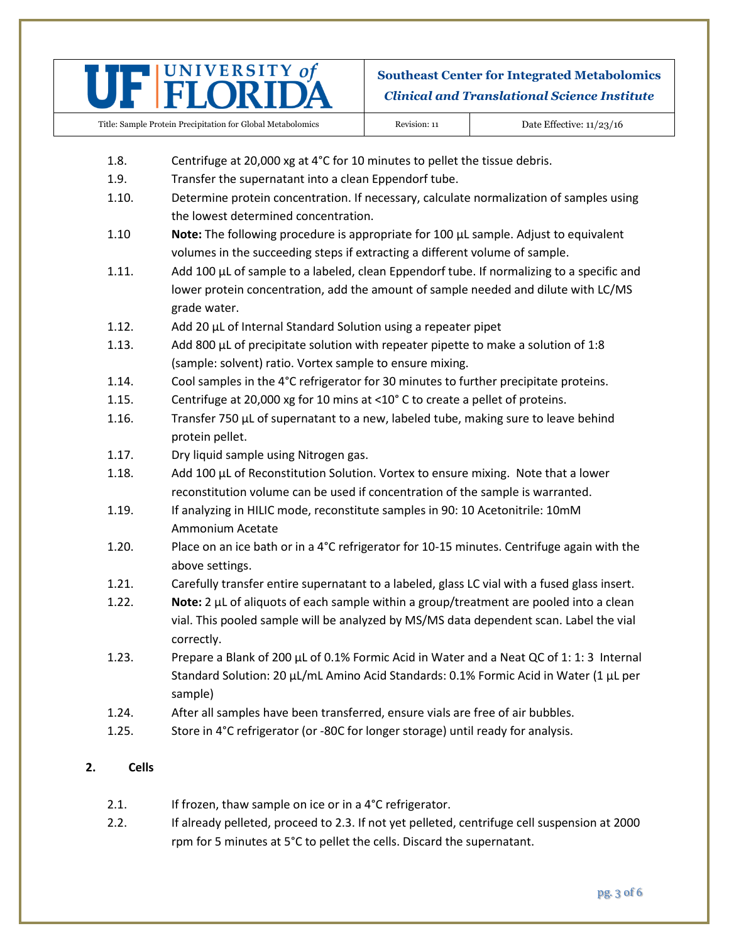

Title: Sample Protein Precipitation for Global Metabolomics Revision: 11 Date Effective: 11/23/16

- 1.8. Centrifuge at 20,000 xg at 4°C for 10 minutes to pellet the tissue debris.
- 1.9. Transfer the supernatant into a clean Eppendorf tube.
- 1.10. Determine protein concentration. If necessary, calculate normalization of samples using the lowest determined concentration.
- 1.10 **Note:** The following procedure is appropriate for 100 µL sample. Adjust to equivalent volumes in the succeeding steps if extracting a different volume of sample.
- 1.11. Add 100 µL of sample to a labeled, clean Eppendorf tube. If normalizing to a specific and lower protein concentration, add the amount of sample needed and dilute with LC/MS grade water.
- 1.12. Add 20 µL of Internal Standard Solution using a repeater pipet
- 1.13. Add 800  $\mu$ L of precipitate solution with repeater pipette to make a solution of 1:8 (sample: solvent) ratio. Vortex sample to ensure mixing.
- 1.14. Cool samples in the 4°C refrigerator for 30 minutes to further precipitate proteins.
- 1.15. Centrifuge at 20,000 xg for 10 mins at <10° C to create a pellet of proteins.
- 1.16. Transfer 750 µL of supernatant to a new, labeled tube, making sure to leave behind protein pellet.
- 1.17. Dry liquid sample using Nitrogen gas.
- 1.18. Add 100 µL of Reconstitution Solution. Vortex to ensure mixing. Note that a lower reconstitution volume can be used if concentration of the sample is warranted.
- 1.19. If analyzing in HILIC mode, reconstitute samples in 90: 10 Acetonitrile: 10mM Ammonium Acetate
- 1.20. Place on an ice bath or in a 4°C refrigerator for 10-15 minutes. Centrifuge again with the above settings.
- 1.21. Carefully transfer entire supernatant to a labeled, glass LC vial with a fused glass insert.
- 1.22. **Note:** 2 µL of aliquots of each sample within a group/treatment are pooled into a clean vial. This pooled sample will be analyzed by MS/MS data dependent scan. Label the vial correctly.
- 1.23. Prepare a Blank of 200 µL of 0.1% Formic Acid in Water and a Neat QC of 1: 1: 3 Internal Standard Solution: 20 µL/mL Amino Acid Standards: 0.1% Formic Acid in Water (1 µL per sample)
- 1.24. After all samples have been transferred, ensure vials are free of air bubbles.
- 1.25. Store in 4°C refrigerator (or -80C for longer storage) until ready for analysis.

## **2. Cells**

- 2.1. If frozen, thaw sample on ice or in a 4°C refrigerator.
- 2.2. If already pelleted, proceed to 2.3. If not yet pelleted, centrifuge cell suspension at 2000 rpm for 5 minutes at 5°C to pellet the cells. Discard the supernatant.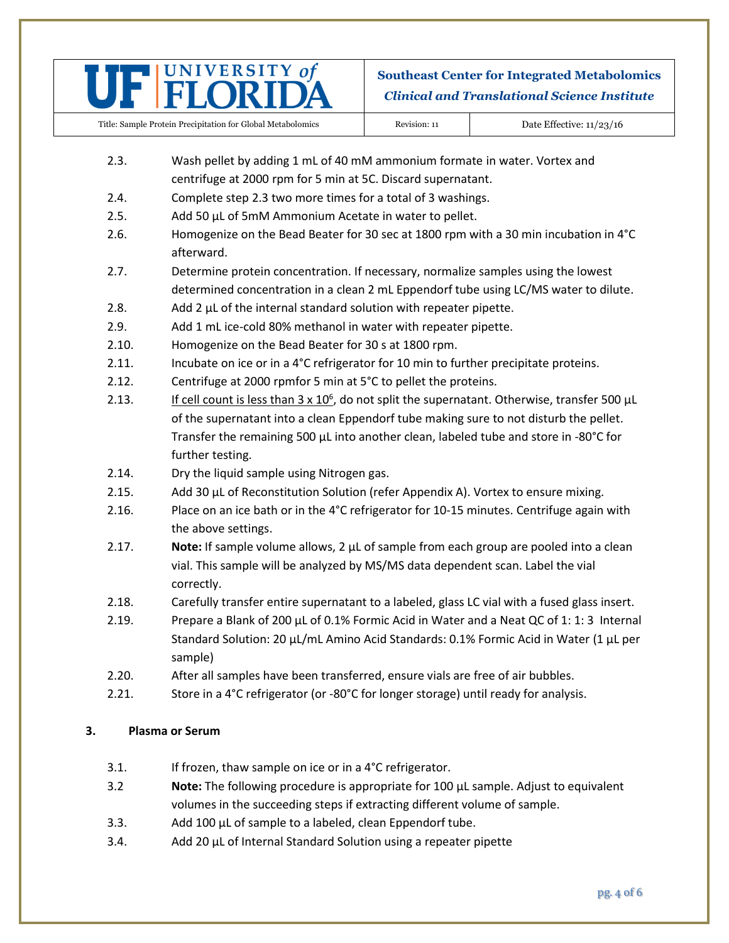

Title: Sample Protein Precipitation for Global Metabolomics Revision: 11 Date Effective: 11/23/16

- 2.3. Wash pellet by adding 1 mL of 40 mM ammonium formate in water. Vortex and centrifuge at 2000 rpm for 5 min at 5C. Discard supernatant.
- 2.4. Complete step 2.3 two more times for a total of 3 washings.
- 2.5. Add 50 µL of 5mM Ammonium Acetate in water to pellet.
- 2.6. Homogenize on the Bead Beater for 30 sec at 1800 rpm with a 30 min incubation in 4°C afterward.
- 2.7. Determine protein concentration. If necessary, normalize samples using the lowest determined concentration in a clean 2 mL Eppendorf tube using LC/MS water to dilute.
- 2.8.  $\blacksquare$  Add 2 µL of the internal standard solution with repeater pipette.
- 2.9. Add 1 mL ice-cold 80% methanol in water with repeater pipette.
- 2.10. Homogenize on the Bead Beater for 30 s at 1800 rpm.
- 2.11. Incubate on ice or in a 4°C refrigerator for 10 min to further precipitate proteins.
- 2.12. Centrifuge at 2000 rpmfor 5 min at 5°C to pellet the proteins.
- 2.13. If cell count is less than  $3 \times 10^6$ , do not split the supernatant. Otherwise, transfer 500  $\mu$ L of the supernatant into a clean Eppendorf tube making sure to not disturb the pellet. Transfer the remaining 500 µL into another clean, labeled tube and store in -80°C for further testing.
- 2.14. Dry the liquid sample using Nitrogen gas.
- 2.15. Add 30  $\mu$ L of Reconstitution Solution (refer Appendix A). Vortex to ensure mixing.
- 2.16. Place on an ice bath or in the 4°C refrigerator for 10-15 minutes. Centrifuge again with the above settings.
- 2.17. **Note:** If sample volume allows, 2 µL of sample from each group are pooled into a clean vial. This sample will be analyzed by MS/MS data dependent scan. Label the vial correctly.
- 2.18. Carefully transfer entire supernatant to a labeled, glass LC vial with a fused glass insert.
- 2.19. Prepare a Blank of 200  $\mu$ L of 0.1% Formic Acid in Water and a Neat QC of 1: 1: 3 Internal Standard Solution: 20 µL/mL Amino Acid Standards: 0.1% Formic Acid in Water (1 µL per sample)
- 2.20. After all samples have been transferred, ensure vials are free of air bubbles.
- 2.21. Store in a 4°C refrigerator (or -80°C for longer storage) until ready for analysis.

### **3. Plasma or Serum**

- 3.1. If frozen, thaw sample on ice or in a 4°C refrigerator.
- 3.2 **Note:** The following procedure is appropriate for 100 µL sample. Adjust to equivalent volumes in the succeeding steps if extracting different volume of sample.
- 3.3. Add 100 µL of sample to a labeled, clean Eppendorf tube.
- 3.4. Add 20 µL of Internal Standard Solution using a repeater pipette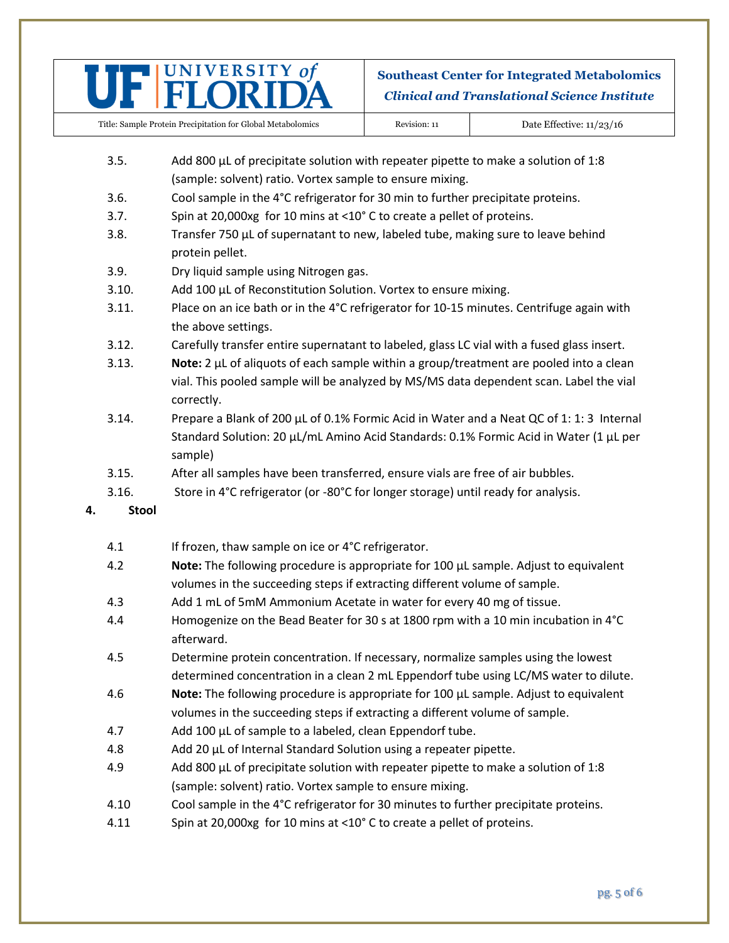

| Title: Sample Protein Precipitation for Global Metabolomics | Revision: 11 | Date Effective: $11/23/16$ |
|-------------------------------------------------------------|--------------|----------------------------|
|-------------------------------------------------------------|--------------|----------------------------|

- 3.5. Add 800  $\mu$ L of precipitate solution with repeater pipette to make a solution of 1:8 (sample: solvent) ratio. Vortex sample to ensure mixing.
- 3.6. Cool sample in the 4°C refrigerator for 30 min to further precipitate proteins.
- 3.7. Spin at 20,000xg for 10 mins at <10° C to create a pellet of proteins.
- 3.8. Transfer 750  $\mu$ L of supernatant to new, labeled tube, making sure to leave behind protein pellet.
- 3.9. Dry liquid sample using Nitrogen gas.
- 3.10. Add 100 µL of Reconstitution Solution. Vortex to ensure mixing.
- 3.11. Place on an ice bath or in the 4°C refrigerator for 10-15 minutes. Centrifuge again with the above settings.
- 3.12. Carefully transfer entire supernatant to labeled, glass LC vial with a fused glass insert.
- 3.13. **Note:** 2 µL of aliquots of each sample within a group/treatment are pooled into a clean vial. This pooled sample will be analyzed by MS/MS data dependent scan. Label the vial correctly.
- 3.14. Prepare a Blank of 200  $\mu$ L of 0.1% Formic Acid in Water and a Neat QC of 1: 1: 3 Internal Standard Solution: 20 µL/mL Amino Acid Standards: 0.1% Formic Acid in Water (1 µL per sample)
- 3.15. After all samples have been transferred, ensure vials are free of air bubbles.
- 3.16. Store in 4°C refrigerator (or -80°C for longer storage) until ready for analysis.
- **4. Stool**
	- 4.1 If frozen, thaw sample on ice or 4°C refrigerator.
	- 4.2 **Note:** The following procedure is appropriate for 100 µL sample. Adjust to equivalent volumes in the succeeding steps if extracting different volume of sample.
	- 4.3 Add 1 mL of 5mM Ammonium Acetate in water for every 40 mg of tissue.
	- 4.4 Homogenize on the Bead Beater for 30 s at 1800 rpm with a 10 min incubation in 4°C afterward.
	- 4.5 Determine protein concentration. If necessary, normalize samples using the lowest determined concentration in a clean 2 mL Eppendorf tube using LC/MS water to dilute.
	- 4.6 **Note:** The following procedure is appropriate for 100 µL sample. Adjust to equivalent volumes in the succeeding steps if extracting a different volume of sample.
	- 4.7 Add 100 µL of sample to a labeled, clean Eppendorf tube.
	- 4.8 Add 20 µL of Internal Standard Solution using a repeater pipette.
	- 4.9 Add 800  $\mu$ L of precipitate solution with repeater pipette to make a solution of 1:8 (sample: solvent) ratio. Vortex sample to ensure mixing.
	- 4.10 Cool sample in the 4°C refrigerator for 30 minutes to further precipitate proteins.
	- 4.11 Spin at 20,000xg for 10 mins at <10° C to create a pellet of proteins.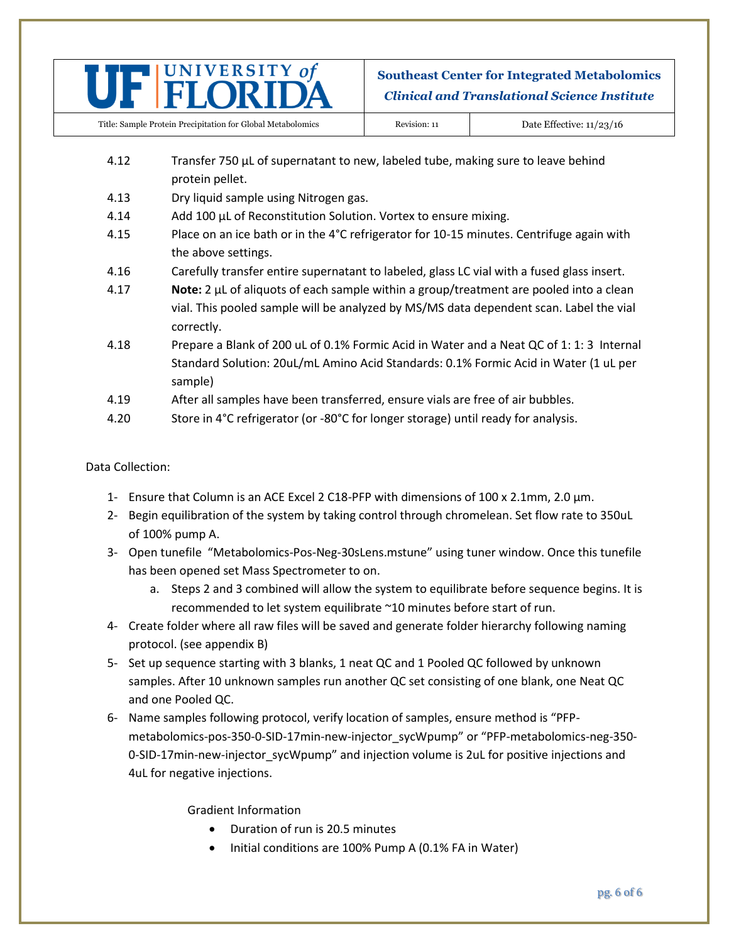

- 4.12 Transfer 750  $\mu$ L of supernatant to new, labeled tube, making sure to leave behind protein pellet.
- 4.13 Dry liquid sample using Nitrogen gas.
- 4.14 Add 100 µL of Reconstitution Solution. Vortex to ensure mixing.
- 4.15 Place on an ice bath or in the 4°C refrigerator for 10-15 minutes. Centrifuge again with the above settings.
- 4.16 Carefully transfer entire supernatant to labeled, glass LC vial with a fused glass insert.
- 4.17 **Note:** 2 µL of aliquots of each sample within a group/treatment are pooled into a clean vial. This pooled sample will be analyzed by MS/MS data dependent scan. Label the vial correctly.
- 4.18 Prepare a Blank of 200 uL of 0.1% Formic Acid in Water and a Neat QC of 1: 1: 3 Internal Standard Solution: 20uL/mL Amino Acid Standards: 0.1% Formic Acid in Water (1 uL per sample)
- 4.19 After all samples have been transferred, ensure vials are free of air bubbles.
- 4.20 Store in 4°C refrigerator (or -80°C for longer storage) until ready for analysis.

### Data Collection:

- 1- Ensure that Column is an ACE Excel 2 C18-PFP with dimensions of  $100 \times 2.1$ mm, 2.0  $\mu$ m.
- 2- Begin equilibration of the system by taking control through chromelean. Set flow rate to 350uL of 100% pump A.
- 3- Open tunefile "Metabolomics-Pos-Neg-30sLens.mstune" using tuner window. Once this tunefile has been opened set Mass Spectrometer to on.
	- a. Steps 2 and 3 combined will allow the system to equilibrate before sequence begins. It is recommended to let system equilibrate ~10 minutes before start of run.
- 4- Create folder where all raw files will be saved and generate folder hierarchy following naming protocol. (see appendix B)
- 5- Set up sequence starting with 3 blanks, 1 neat QC and 1 Pooled QC followed by unknown samples. After 10 unknown samples run another QC set consisting of one blank, one Neat QC and one Pooled QC.
- 6- Name samples following protocol, verify location of samples, ensure method is "PFPmetabolomics-pos-350-0-SID-17min-new-injector\_sycWpump" or "PFP-metabolomics-neg-350- 0-SID-17min-new-injector\_sycWpump" and injection volume is 2uL for positive injections and 4uL for negative injections.

Gradient Information

- Duration of run is 20.5 minutes
- Initial conditions are 100% Pump A (0.1% FA in Water)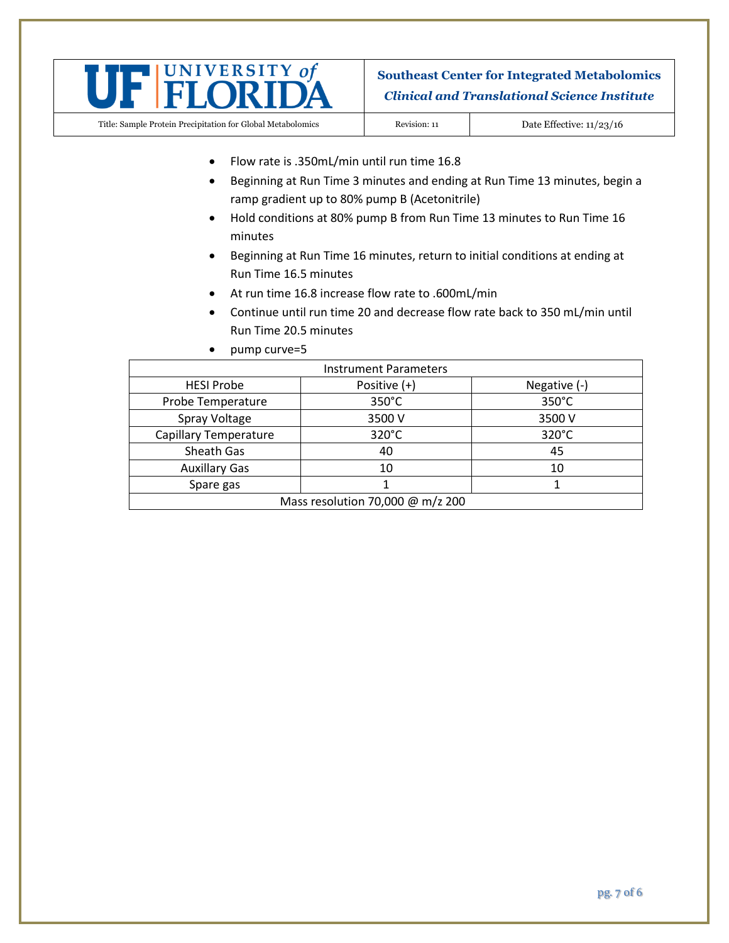

Title: Sample Protein Precipitation for Global Metabolomics Revision: 11 Date Effective: 11/23/16

- Flow rate is .350mL/min until run time 16.8
- Beginning at Run Time 3 minutes and ending at Run Time 13 minutes, begin a ramp gradient up to 80% pump B (Acetonitrile)
- Hold conditions at 80% pump B from Run Time 13 minutes to Run Time 16 minutes
- Beginning at Run Time 16 minutes, return to initial conditions at ending at Run Time 16.5 minutes
- At run time 16.8 increase flow rate to .600mL/min
- Continue until run time 20 and decrease flow rate back to 350 mL/min until Run Time 20.5 minutes
- pump curve=5

| <b>Instrument Parameters</b>     |                 |                |
|----------------------------------|-----------------|----------------|
| <b>HESI Probe</b>                | Positive (+)    | Negative $(-)$ |
| Probe Temperature                | $350^{\circ}$ C | 350°C          |
| Spray Voltage                    | 3500 V          | 3500 V         |
| <b>Capillary Temperature</b>     | 320°C           | 320°C          |
| Sheath Gas                       | 40              | 45             |
| <b>Auxillary Gas</b>             | 10              | 10             |
| Spare gas                        |                 |                |
| Mass resolution 70,000 @ m/z 200 |                 |                |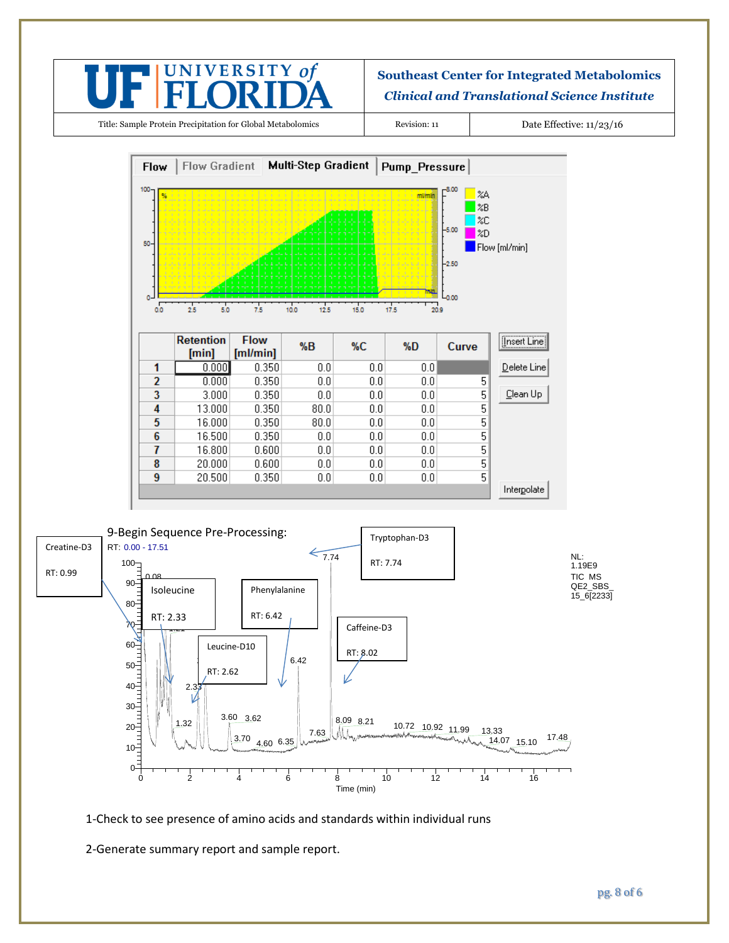

Title: Sample Protein Precipitation for Global Metabolomics Revision: 11 Date Effective: 11/23/16





1-Check to see presence of amino acids and standards within individual runs

2-Generate summary report and sample report.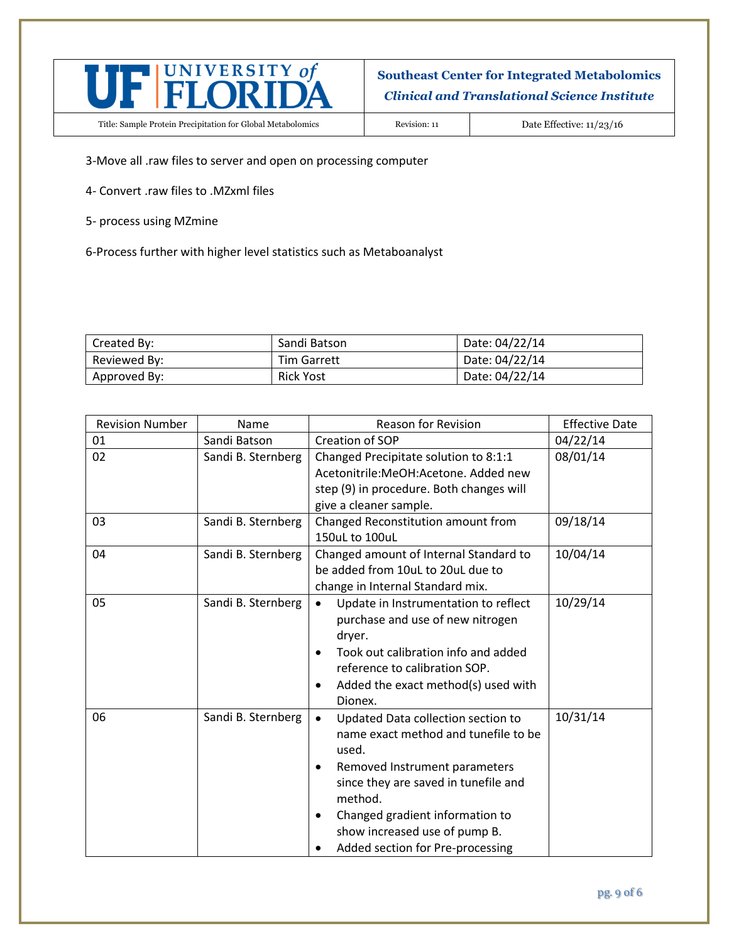

Title: Sample Protein Precipitation for Global Metabolomics Revision: 11 Date Effective: 11/23/16

3-Move all .raw files to server and open on processing computer

- 4- Convert .raw files to .MZxml files
- 5- process using MZmine
- 6-Process further with higher level statistics such as Metaboanalyst

| Created By:  | Sandi Batson       | Date: 04/22/14 |
|--------------|--------------------|----------------|
| Reviewed By: | <b>Tim Garrett</b> | Date: 04/22/14 |
| Approved By: | <b>Rick Yost</b>   | Date: 04/22/14 |

| <b>Revision Number</b> | Name               | <b>Reason for Revision</b>                                                                                                                                                                                                                                                      | <b>Effective Date</b> |
|------------------------|--------------------|---------------------------------------------------------------------------------------------------------------------------------------------------------------------------------------------------------------------------------------------------------------------------------|-----------------------|
| 01                     | Sandi Batson       | Creation of SOP                                                                                                                                                                                                                                                                 | 04/22/14              |
| 02                     | Sandi B. Sternberg | Changed Precipitate solution to 8:1:1<br>Acetonitrile:MeOH:Acetone, Added new<br>step (9) in procedure. Both changes will<br>give a cleaner sample.                                                                                                                             | 08/01/14              |
| 03                     | Sandi B. Sternberg | Changed Reconstitution amount from<br>150uL to 100uL                                                                                                                                                                                                                            | 09/18/14              |
| 04                     | Sandi B. Sternberg | Changed amount of Internal Standard to<br>be added from 10uL to 20uL due to<br>change in Internal Standard mix.                                                                                                                                                                 | 10/04/14              |
| 05                     | Sandi B. Sternberg | Update in Instrumentation to reflect<br>purchase and use of new nitrogen<br>dryer.<br>Took out calibration info and added<br>reference to calibration SOP.<br>Added the exact method(s) used with<br>Dionex.                                                                    | 10/29/14              |
| 06                     | Sandi B. Sternberg | Updated Data collection section to<br>name exact method and tunefile to be<br>used.<br>Removed Instrument parameters<br>since they are saved in tunefile and<br>method.<br>Changed gradient information to<br>show increased use of pump B.<br>Added section for Pre-processing | 10/31/14              |